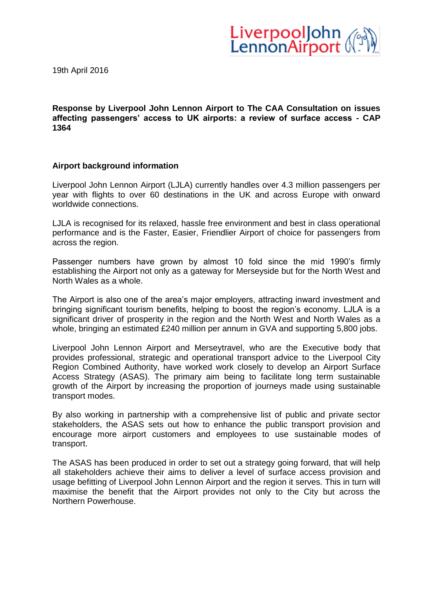

19th April 2016

**Response by Liverpool John Lennon Airport to The CAA Consultation on issues affecting passengers' access to UK airports: a review of surface access - CAP 1364**

# **Airport background information**

Liverpool John Lennon Airport (LJLA) currently handles over 4.3 million passengers per year with flights to over 60 destinations in the UK and across Europe with onward worldwide connections.

LJLA is recognised for its relaxed, hassle free environment and best in class operational performance and is the Faster, Easier, Friendlier Airport of choice for passengers from across the region.

Passenger numbers have grown by almost 10 fold since the mid 1990's firmly establishing the Airport not only as a gateway for Merseyside but for the North West and North Wales as a whole.

The Airport is also one of the area's major employers, attracting inward investment and bringing significant tourism benefits, helping to boost the region's economy. LJLA is a significant driver of prosperity in the region and the North West and North Wales as a whole, bringing an estimated £240 million per annum in GVA and supporting 5,800 jobs.

Liverpool John Lennon Airport and Merseytravel, who are the Executive body that provides professional, strategic and operational transport advice to the Liverpool City Region Combined Authority, have worked work closely to develop an Airport Surface Access Strategy (ASAS). The primary aim being to facilitate long term sustainable growth of the Airport by increasing the proportion of journeys made using sustainable transport modes.

By also working in partnership with a comprehensive list of public and private sector stakeholders, the ASAS sets out how to enhance the public transport provision and encourage more airport customers and employees to use sustainable modes of transport.

The ASAS has been produced in order to set out a strategy going forward, that will help all stakeholders achieve their aims to deliver a level of surface access provision and usage befitting of Liverpool John Lennon Airport and the region it serves. This in turn will maximise the benefit that the Airport provides not only to the City but across the Northern Powerhouse.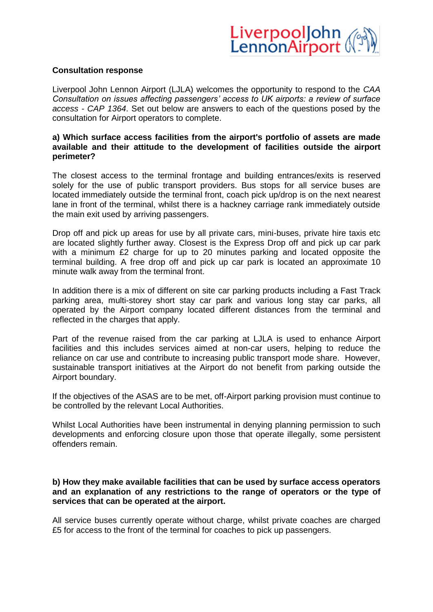

#### **Consultation response**

Liverpool John Lennon Airport (LJLA) welcomes the opportunity to respond to the *CAA Consultation on issues affecting passengers' access to UK airports: a review of surface access - CAP 1364*. Set out below are answers to each of the questions posed by the consultation for Airport operators to complete.

# **a) Which surface access facilities from the airport's portfolio of assets are made available and their attitude to the development of facilities outside the airport perimeter?**

The closest access to the terminal frontage and building entrances/exits is reserved solely for the use of public transport providers. Bus stops for all service buses are located immediately outside the terminal front, coach pick up/drop is on the next nearest lane in front of the terminal, whilst there is a hackney carriage rank immediately outside the main exit used by arriving passengers.

Drop off and pick up areas for use by all private cars, mini-buses, private hire taxis etc are located slightly further away. Closest is the Express Drop off and pick up car park with a minimum £2 charge for up to 20 minutes parking and located opposite the terminal building. A free drop off and pick up car park is located an approximate 10 minute walk away from the terminal front.

In addition there is a mix of different on site car parking products including a Fast Track parking area, multi-storey short stay car park and various long stay car parks, all operated by the Airport company located different distances from the terminal and reflected in the charges that apply.

Part of the revenue raised from the car parking at LJLA is used to enhance Airport facilities and this includes services aimed at non-car users, helping to reduce the reliance on car use and contribute to increasing public transport mode share. However, sustainable transport initiatives at the Airport do not benefit from parking outside the Airport boundary.

If the objectives of the ASAS are to be met, off-Airport parking provision must continue to be controlled by the relevant Local Authorities.

Whilst Local Authorities have been instrumental in denying planning permission to such developments and enforcing closure upon those that operate illegally, some persistent offenders remain.

# **b) How they make available facilities that can be used by surface access operators and an explanation of any restrictions to the range of operators or the type of services that can be operated at the airport.**

All service buses currently operate without charge, whilst private coaches are charged £5 for access to the front of the terminal for coaches to pick up passengers.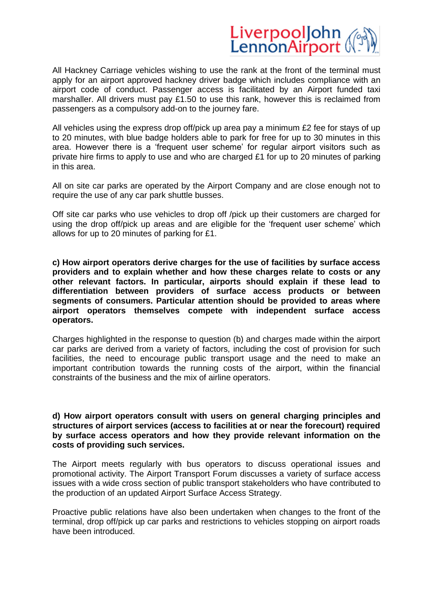# LiverpoolJohn<br>LennonAirport

All Hackney Carriage vehicles wishing to use the rank at the front of the terminal must apply for an airport approved hackney driver badge which includes compliance with an airport code of conduct. Passenger access is facilitated by an Airport funded taxi marshaller. All drivers must pay £1.50 to use this rank, however this is reclaimed from passengers as a compulsory add-on to the journey fare.

All vehicles using the express drop off/pick up area pay a minimum £2 fee for stays of up to 20 minutes, with blue badge holders able to park for free for up to 30 minutes in this area. However there is a 'frequent user scheme' for regular airport visitors such as private hire firms to apply to use and who are charged £1 for up to 20 minutes of parking in this area.

All on site car parks are operated by the Airport Company and are close enough not to require the use of any car park shuttle busses.

Off site car parks who use vehicles to drop off /pick up their customers are charged for using the drop off/pick up areas and are eligible for the 'frequent user scheme' which allows for up to 20 minutes of parking for £1.

**c) How airport operators derive charges for the use of facilities by surface access providers and to explain whether and how these charges relate to costs or any other relevant factors. In particular, airports should explain if these lead to differentiation between providers of surface access products or between segments of consumers. Particular attention should be provided to areas where airport operators themselves compete with independent surface access operators.** 

Charges highlighted in the response to question (b) and charges made within the airport car parks are derived from a variety of factors, including the cost of provision for such facilities, the need to encourage public transport usage and the need to make an important contribution towards the running costs of the airport, within the financial constraints of the business and the mix of airline operators.

### **d) How airport operators consult with users on general charging principles and structures of airport services (access to facilities at or near the forecourt) required by surface access operators and how they provide relevant information on the costs of providing such services.**

The Airport meets regularly with bus operators to discuss operational issues and promotional activity. The Airport Transport Forum discusses a variety of surface access issues with a wide cross section of public transport stakeholders who have contributed to the production of an updated Airport Surface Access Strategy.

Proactive public relations have also been undertaken when changes to the front of the terminal, drop off/pick up car parks and restrictions to vehicles stopping on airport roads have been introduced.